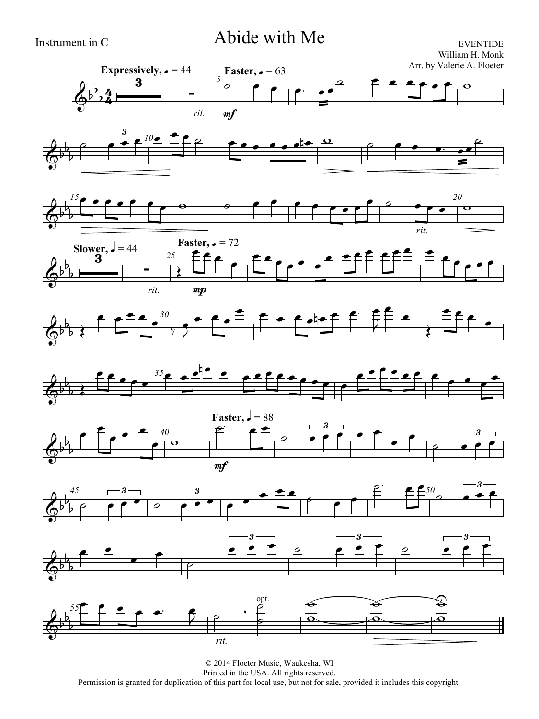





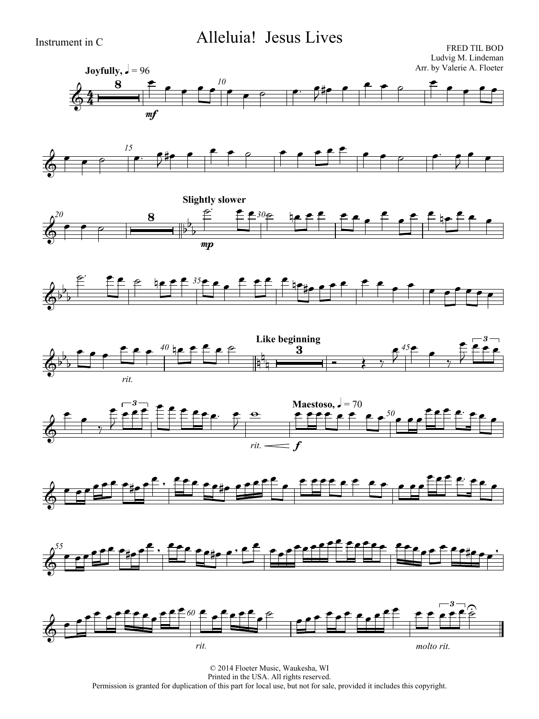## Instrument in C Alleluia! Jesus Lives

FRED TIL BOD Ludvig M. Lindeman Arr. by Valerie A. Floeter

















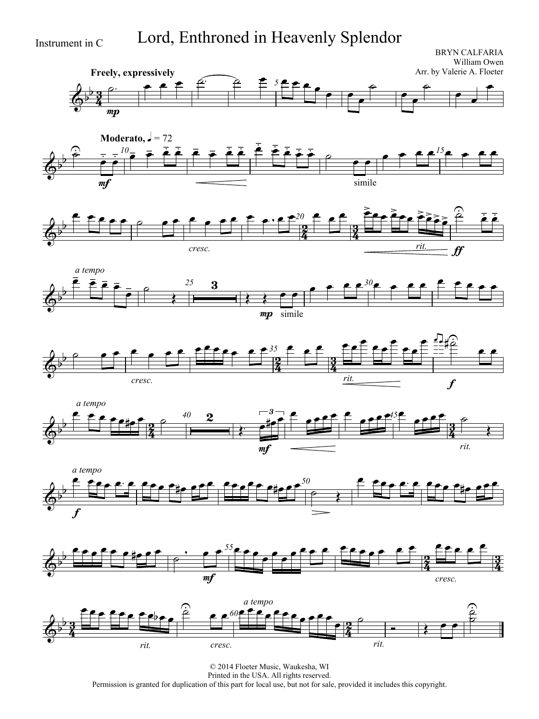Instrument in C Lord, Enthroned in Heavenly Splendor

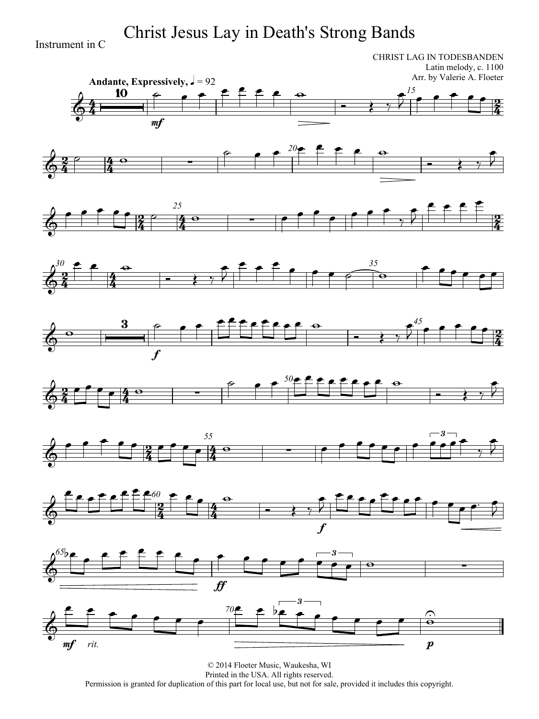Instrument in C Christ Jesus Lay in Death's Strong Bands

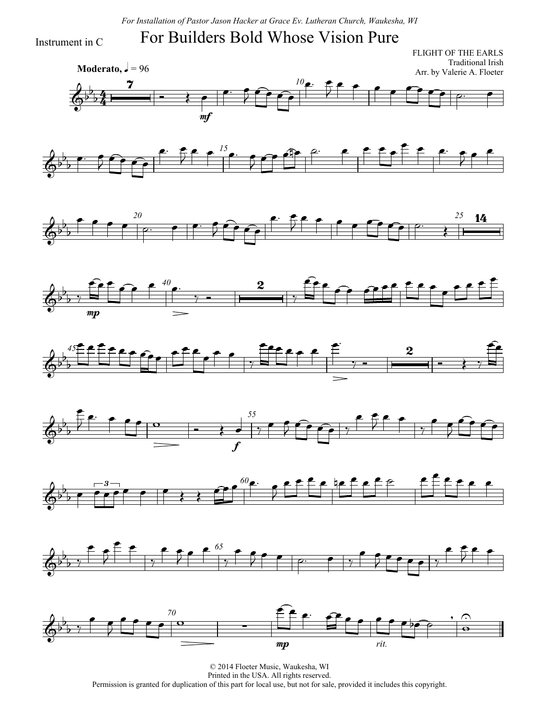*For Installation of Pastor Jason Hacker at Grace Ev. Lutheran Church, Waukesha, WI*

## For Builders Bold Whose Vision Pure

Instrument in C

 $\frac{1}{2}$  $\frac{4}{4}$ **Moderato,**  $\sqrt{ } = 96$ FLIGHT OF THE EARLS Traditional Irish Arr. by Valerie A. Floeter *10*  $\overline{d}$  $\mathsf{b}$  $\overline{b}$  $\overline{\mathbf{z}}$  $\overrightarrow{ }$ mf  $\overline{\bullet}$  $\bullet$   $\bullet$  $\sqrt{2}$  $\overline{\mathbf{e}}$  f  $\overline{\mathbf{y}}$ 















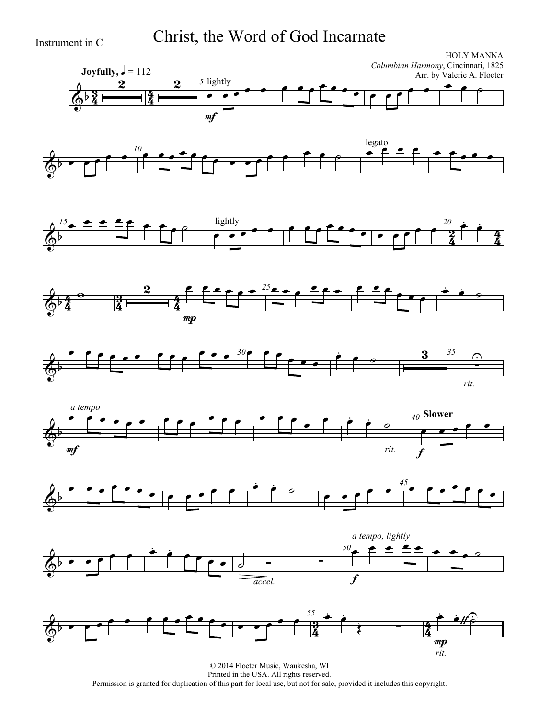Instrument in C Christ, the Word of God Incarnate

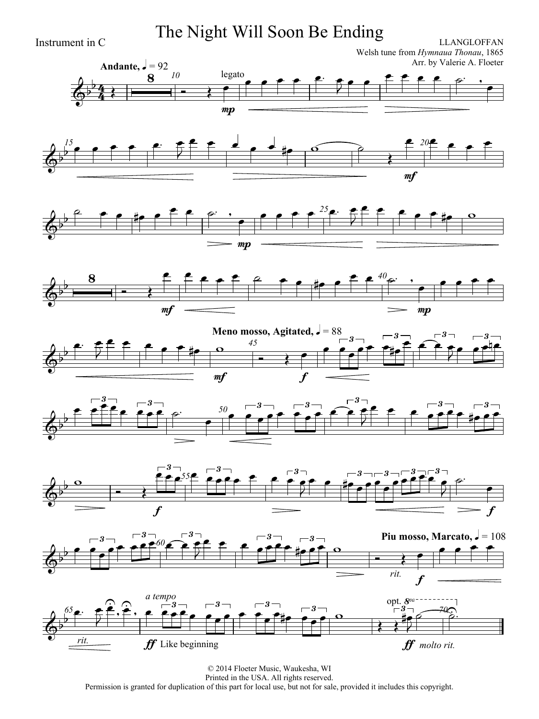Instrument in C **Instrument in C Instrument in C ILLANGLOFFAN** 

Welsh tune from *Hymnaua Thonau*, 1865 Arr. by Valerie A. Floeter